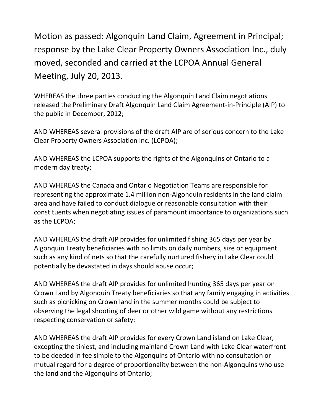Motion as passed: Algonquin Land Claim, Agreement in Principal; response by the Lake Clear Property Owners Association Inc., duly moved, seconded and carried at the LCPOA Annual General Meeting, July 20, 2013.

WHEREAS the three parties conducting the Algonquin Land Claim negotiations released the Preliminary Draft Algonquin Land Claim Agreement-in-Principle (AIP) to the public in December, 2012;

AND WHEREAS several provisions of the draft AIP are of serious concern to the Lake Clear Property Owners Association Inc. (LCPOA);

AND WHEREAS the LCPOA supports the rights of the Algonquins of Ontario to a modern day treaty;

AND WHEREAS the Canada and Ontario Negotiation Teams are responsible for representing the approximate 1.4 million non-Algonquin residents in the land claim area and have failed to conduct dialogue or reasonable consultation with their constituents when negotiating issues of paramount importance to organizations such as the LCPOA;

AND WHEREAS the draft AIP provides for unlimited fishing 365 days per year by Algonquin Treaty beneficiaries with no limits on daily numbers, size or equipment such as any kind of nets so that the carefully nurtured fishery in Lake Clear could potentially be devastated in days should abuse occur;

AND WHEREAS the draft AIP provides for unlimited hunting 365 days per year on Crown Land by Algonquin Treaty beneficiaries so that any family engaging in activities such as picnicking on Crown land in the summer months could be subject to observing the legal shooting of deer or other wild game without any restrictions respecting conservation or safety;

AND WHEREAS the draft AIP provides for every Crown Land island on Lake Clear, excepting the tiniest, and including mainland Crown Land with Lake Clear waterfront to be deeded in fee simple to the Algonquins of Ontario with no consultation or mutual regard for a degree of proportionality between the non-Algonquins who use the land and the Algonquins of Ontario;